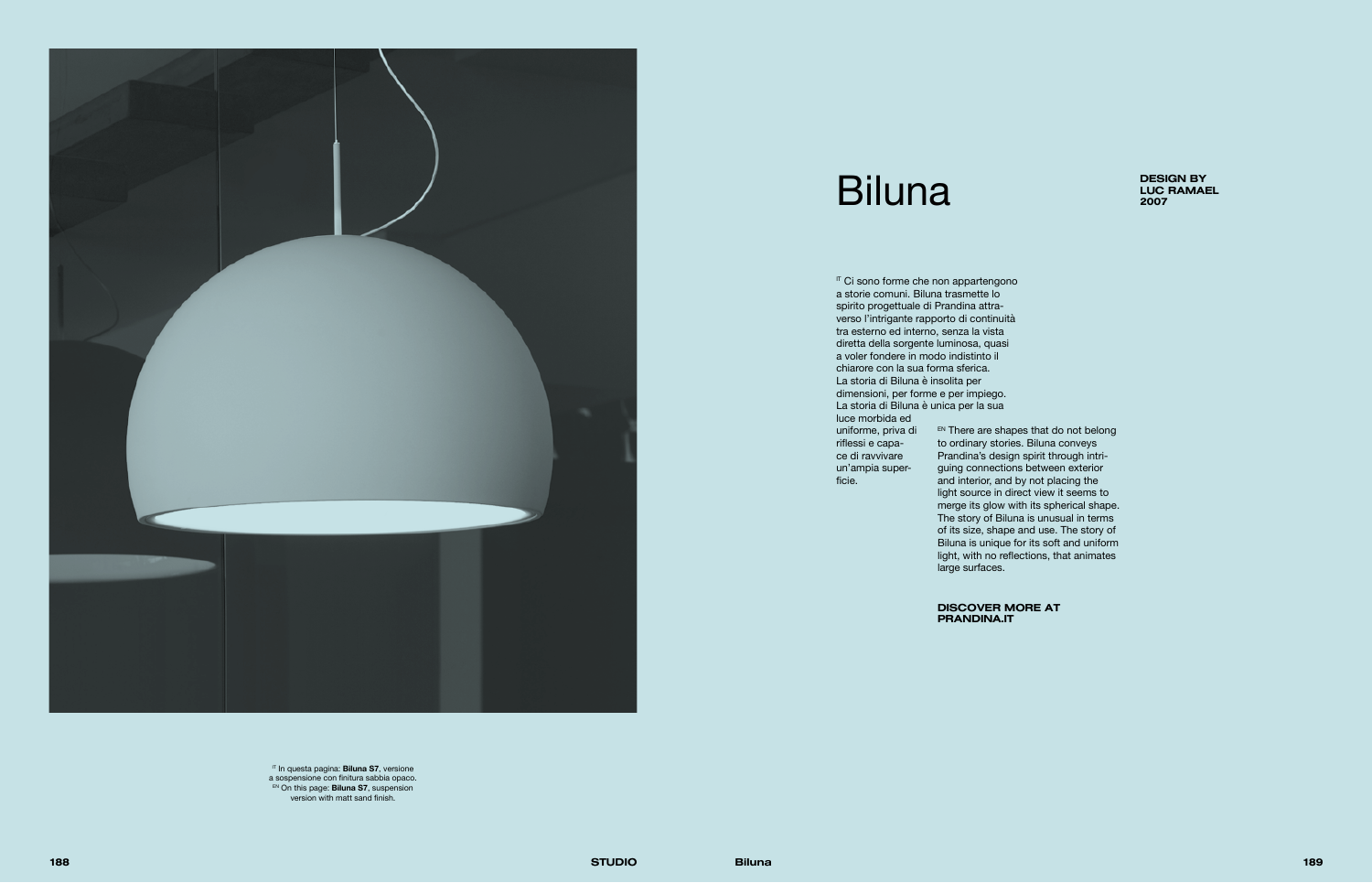

## Biluna DESIGN BY DESIGN BY



IT In questa pagina: **Biluna S7**, versione a sospensione con finitura sabbia opaco. EN On this page: **Biluna S7**, suspension version with matt sand finish.

DISCOVER MORE AT PRANDINA.IT

IT Ci sono forme che non appartengono a storie comuni. Biluna trasmette lo spirito progettuale di Prandina attraverso l'intrigante rapporto di continuità tra esterno ed interno, senza la vista diretta della sorgente luminosa, quasi a voler fondere in modo indistinto il chiarore con la sua forma sferica. La storia di Biluna è insolita per dimensioni, per forme e per impiego. La storia di Biluna è unica per la sua luce morbida ed

> EN There are shapes that do not belong to ordinary stories. Biluna conveys Prandina's design spirit through intriguing connections between exterior and interior, and by not placing the light source in direct view it seems to merge its glow with its spherical shape. The story of Biluna is unusual in terms of its size, shape and use. The story of Biluna is unique for its soft and uniform light, with no reflections, that animates large surfaces.

uniforme, priva di riflessi e capace di ravvivare un'ampia superficie.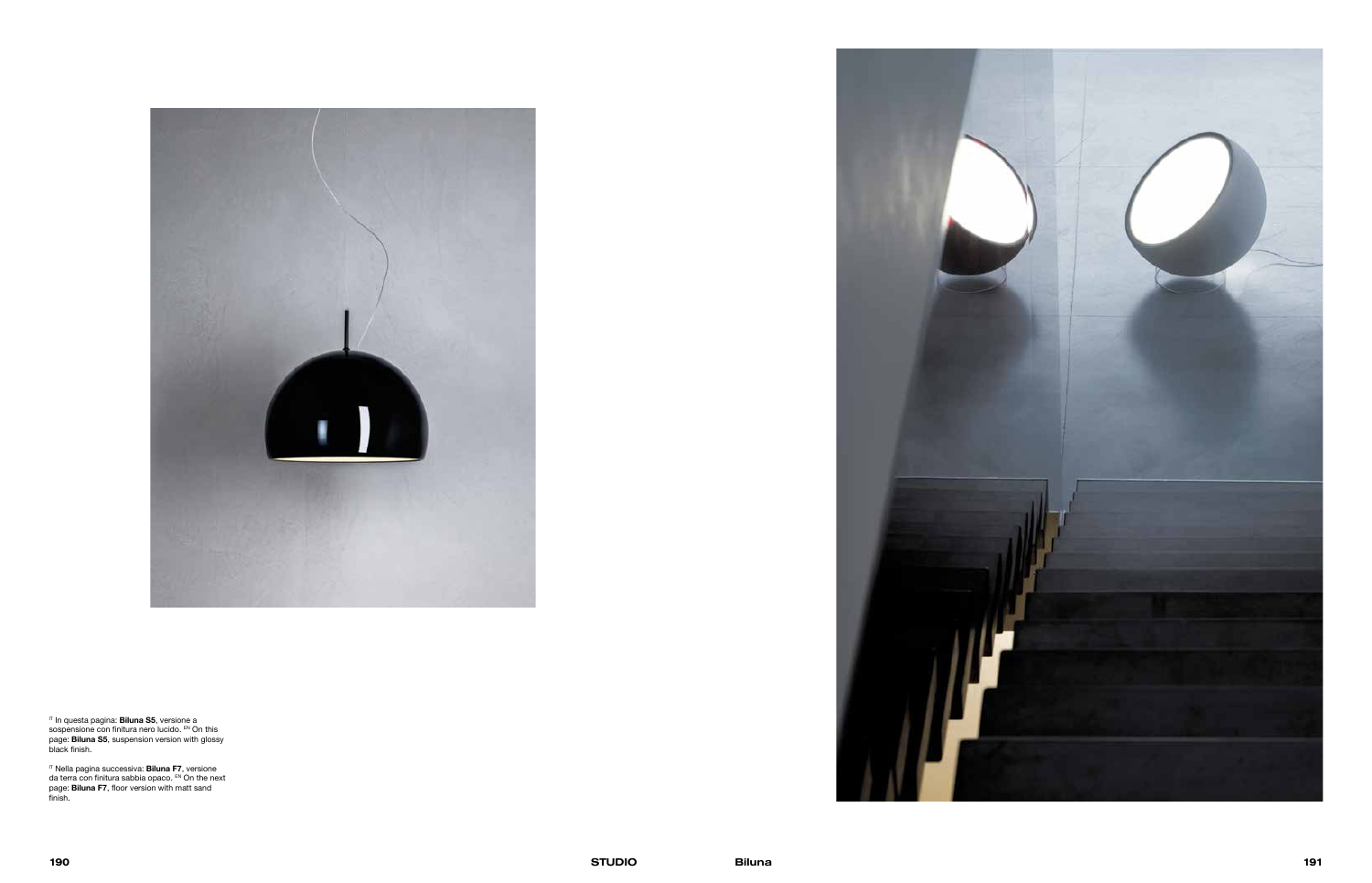

IT In questa pagina: **Biluna S5**, versione a sospensione con finitura nero lucido. EN On this page: **Biluna S5**, suspension version with glossy black finish.

IT Nella pagina successiva: **Biluna F7**, versione da terra con finitura sabbia opaco. EN On the next page: **Biluna F7**, floor version with matt sand finish.